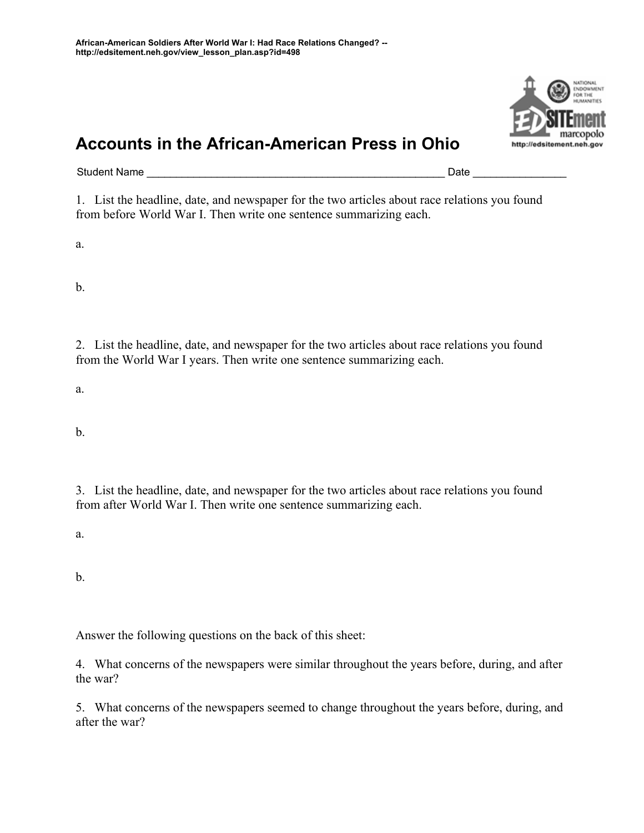## **Accounts in the African-American Press in Ohio**

Student Name \_\_\_\_\_\_\_\_\_\_\_\_\_\_\_\_\_\_\_\_\_\_\_\_\_\_\_\_\_\_\_\_\_\_\_\_\_\_\_\_\_\_\_\_\_\_\_\_\_\_\_ Date \_\_\_\_\_\_\_\_\_\_\_\_\_\_\_\_

1. List the headline, date, and newspaper for the two articles about race relations you found from before World War I. Then write one sentence summarizing each.

a.

b.

2. List the headline, date, and newspaper for the two articles about race relations you found from the World War I years. Then write one sentence summarizing each.

a.

b.

3. List the headline, date, and newspaper for the two articles about race relations you found from after World War I. Then write one sentence summarizing each.

a.

b.

Answer the following questions on the back of this sheet:

4. What concerns of the newspapers were similar throughout the years before, during, and after the war?

5. What concerns of the newspapers seemed to change throughout the years before, during, and after the war?